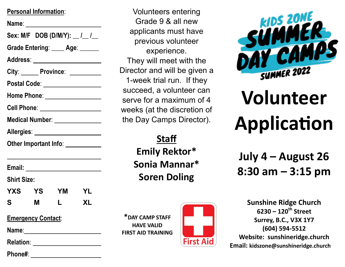### **Personal Information**:

**Name**: **Sex: M/F DOB (D/M/Y): \_\_ /\_\_ /\_\_ Grade Entering**: \_\_\_\_ **Age**: \_\_\_\_\_\_ **Address**: City: **Province:** 2008 **Postal Code**: **Home Phone**: **Cell Phone**: **Medical Number**: **Allergies**: **Other Important Info**:

**Email:** 

**Shirt Size:** 

**YXS YS YM YL S M L XL**

**Emergency Contact**:

**Name**:

**Relation**:

**Phone#**:

Volunteers entering Grade 9 & all new applicants must have previous volunteer experience. They will meet with the Director and will be given a 1-week trial run. If they succeed, a volunteer can serve for a maximum of 4 weeks (at the discretion of the Day Camps Director).

> **Staff Emily Rektor\* Sonia Mannar\* Soren Doling**

**\*DAY CAMP STAFF HAVE VALID FIRST AID TRAINING**



**KIDS ZONE** 

# **Volunteer Application**

**July 4 – August 26 8:30 am – 3:15 pm**

**Sunshine Ridge Church 6230 – 120th Street Surrey, B.C., V3X 1Y7 (604) 594-5512 Website: sunshineridge.church Email: kidszone@sunshineridge.church**